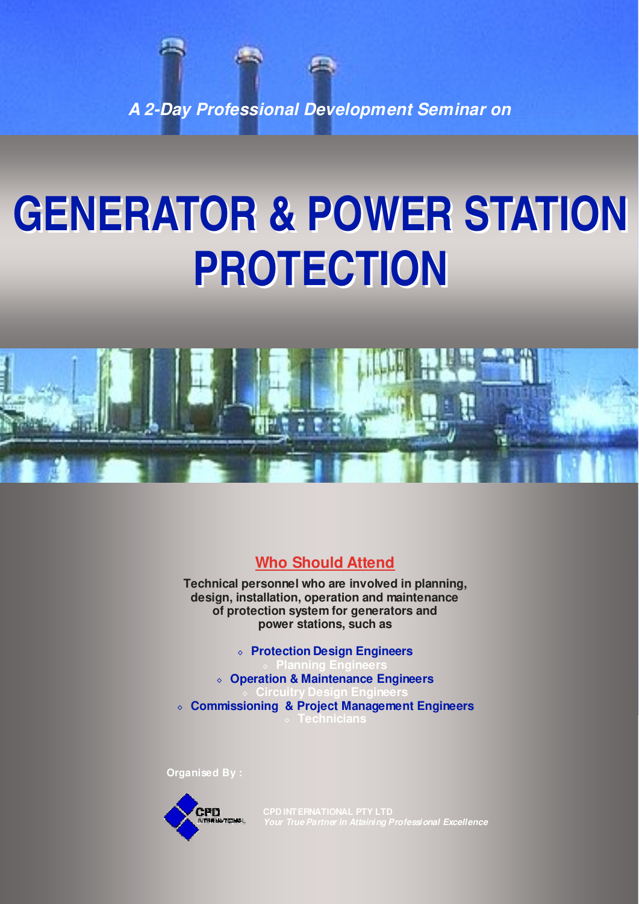**A 2-Day Professional Development Seminar on** 

# **GENERATOR & POWER STATION PROTECTION**



**Who Should Attend** 

**Technical personnel who are involved in planning, design, installation, operation and maintenance of protection system for generators and power stations, such as** 

◊ **Protection Design Engineers**  ◊ **Planning Engineers**  ◊ **Operation & Maintenance Engineers** ◊ **Circuitry Design Engineers** ◊ **Commissioning & Project Management Engineers** ◊ **Technicians**

**Organised By :**



**Your True Partner in Attaining Professional Excellence**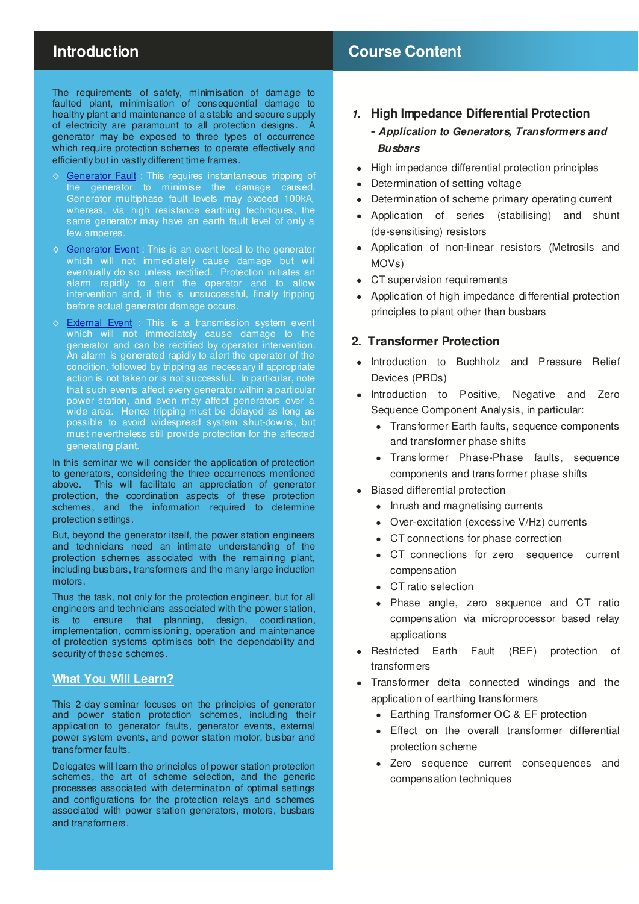# **Introduction Course Content**

The requirements of safety, minimisation of damage to faulted plant, minimisation of consequential damage to healthy plant and maintenance of a stable and secure supply of electricity are paramount to all protection designs. A generator may be exposed to three types of occurrence which require protection schemes to operate effectively and efficiently but in vastly different time frames.

- ◊ Generator Fault : This requires instantaneous tripping of the generator to minimise the damage caused. Generator multiphase fault levels may exceed 100kA, whereas, via high resistance earthing techniques, the same generator may have an earth fault level of only a few amperes.
- ◊ Generator Event : This is an event local to the generator which will not immediately cause damage but will eventually do so unless rectified. Protection initiates an alarm rapidly to alert the operator and to allow intervention and, if this is unsuccessful, finally tripping before actual generator damage occurs.
- ◇ **External Event** : This is a transmission system event which will not immediately cause damage to the generator and can be rectified by operator intervention. An alarm is generated rapidly to alert the operator of the condition, followed by tripping as necessary if appropriate action is not taken or is not successful. In particular, note that such events affect every generator within a particular power station, and even may affect generators over a wide area. Hence tripping must be delayed as long as possible to avoid widespread system shut-downs, but must nevertheless still provide protection for the affected generating plant.

In this seminar we will consider the application of protection to generators, considering the three occurrences mentioned above. This will facilitate an appreciation of generator protection, the coordination aspects of these protection schemes, and the information required to determine protection settings.

But, beyond the generator itself, the power station engineers and technicians need an intimate understanding of the protection schemes associated with the remaining plant, including busbars, transformers and the many large induction motors.

Thus the task, not only for the protection engineer, but for all engineers and technicians associated with the power station, is to ensure that planning, design, coordination, implementation, commissioning, operation and maintenance of protection systems optimises both the dependability and security of these schemes.

# **What You Will Learn?**

This 2-day seminar focuses on the principles of generator and power station protection schemes, including their application to generator faults, generator events, external power system events, and power station motor, busbar and transformer faults.

Delegates will learn the principles of power station protection schemes, the art of scheme selection, and the generic processes associated with determination of optimal settings and configurations for the protection relays and schemes associated with power station generators, motors, busbars and transformers.

## **1. High Impedance Differential Protection**

# **- Application to Generators, Transformers and Busbars**

- High impedance differential protection principles
- Determination of setting voltage
- Determination of scheme primary operating current
- Application of series (stabilising) and shunt (de-sensitising) resistors
- Application of non-linear resistors (Metrosils and MOVs)
- CT supervision requirements
- Application of high impedance differential protection principles to plant other than busbars

# **2. Transformer Protection**

- Introduction to Buchholz and Pressure Relief Devices (PRDs)
- Introduction to Positive, Negative and Zero Sequence Component Analysis, in particular:
	- Transformer Earth faults, sequence components and transformer phase shifts
	- Transformer Phase-Phase faults, sequence components and transformer phase shifts
- Biased differential protection
	- Inrush and magnetising currents
	- Over-excitation (excessive V/Hz) currents
	- CT connections for phase correction
	- CT connections for zero sequence current compensation
	- CT ratio selection
	- Phase angle, zero sequence and CT ratio compensation via microprocessor based relay applications
- Restricted Earth Fault (REF) protection of transformers
- Transformer delta connected windings and the application of earthing transformers
	- Earthing Transformer OC & EF protection
	- Effect on the overall transformer differential protection scheme
	- Zero sequence current consequences and compensation techniques